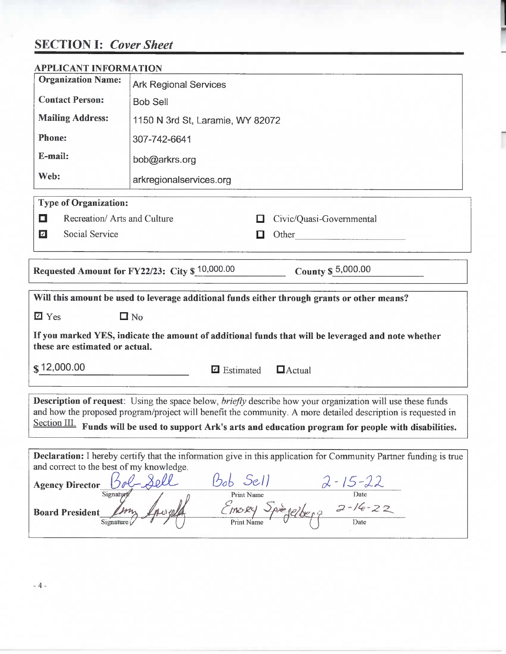# **SECTION I:** *Cover Sheet*

| <b>APPLICANT INFORMATION</b>             |                                                                                                                                                                                                                                                                                                                                         |
|------------------------------------------|-----------------------------------------------------------------------------------------------------------------------------------------------------------------------------------------------------------------------------------------------------------------------------------------------------------------------------------------|
| <b>Organization Name:</b>                | <b>Ark Regional Services</b>                                                                                                                                                                                                                                                                                                            |
| <b>Contact Person:</b>                   | <b>Bob Sell</b>                                                                                                                                                                                                                                                                                                                         |
| <b>Mailing Address:</b>                  | 1150 N 3rd St, Laramie, WY 82072                                                                                                                                                                                                                                                                                                        |
| <b>Phone:</b>                            | 307-742-6641                                                                                                                                                                                                                                                                                                                            |
| E-mail:                                  | bob@arkrs.org                                                                                                                                                                                                                                                                                                                           |
| Web:                                     | arkregionalservices.org                                                                                                                                                                                                                                                                                                                 |
| <b>Type of Organization:</b>             |                                                                                                                                                                                                                                                                                                                                         |
| Recreation/ Arts and Culture<br>О        | Civic/Quasi-Governmental<br>ш                                                                                                                                                                                                                                                                                                           |
| Social Service<br>$\blacksquare$         | Other<br>O                                                                                                                                                                                                                                                                                                                              |
|                                          |                                                                                                                                                                                                                                                                                                                                         |
|                                          | Requested Amount for FY22/23: City \$ 10,000.00<br>County \$ 5,000.00                                                                                                                                                                                                                                                                   |
|                                          |                                                                                                                                                                                                                                                                                                                                         |
|                                          | Will this amount be used to leverage additional funds either through grants or other means?                                                                                                                                                                                                                                             |
| $\overline{2}$ Yes                       | $\Box$ No                                                                                                                                                                                                                                                                                                                               |
|                                          | If you marked YES, indicate the amount of additional funds that will be leveraged and note whether                                                                                                                                                                                                                                      |
| these are estimated or actual.           |                                                                                                                                                                                                                                                                                                                                         |
| \$12,000.00                              | $\Box$ Estimated<br>$\Box$ Actual                                                                                                                                                                                                                                                                                                       |
|                                          | Description of request: Using the space below, briefly describe how your organization will use these funds<br>and how the proposed program/project will benefit the community. A more detailed description is requested in<br>Section III. Funds will be used to support Ark's arts and education program for people with disabilities. |
|                                          |                                                                                                                                                                                                                                                                                                                                         |
| and correct to the best of my knowledge. | Declaration: I hereby certify that the information give in this application for Community Partner funding is true                                                                                                                                                                                                                       |
| <b>Agency Director</b><br>Signaty        | $Bob$ Sell<br>$\frac{100}{200}$ Sell $\frac{2-15-22}{200}$<br>Print Name Date<br><i>CIMORY</i> Spreelberg $2-16-22$<br>Print Name Delberg Date                                                                                                                                                                                          |

-4 -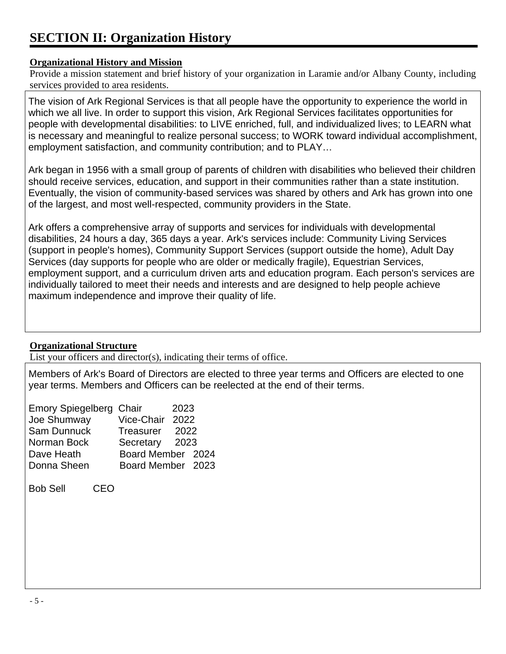# **SECTION II: Organization History**

#### **Organizational History and Mission**

Provide a mission statement and brief history of your organization in Laramie and/or Albany County, including services provided to area residents.

The vision of Ark Regional Services is that all people have the opportunity to experience the world in which we all live. In order to support this vision, Ark Regional Services facilitates opportunities for people with developmental disabilities: to LIVE enriched, full, and individualized lives; to LEARN what is necessary and meaningful to realize personal success; to WORK toward individual accomplishment, employment satisfaction, and community contribution; and to PLAY…

Ark began in 1956 with a small group of parents of children with disabilities who believed their children should receive services, education, and support in their communities rather than a state institution. Eventually, the vision of community-based services was shared by others and Ark has grown into one of the largest, and most well-respected, community providers in the State.

Ark offers a comprehensive array of supports and services for individuals with developmental disabilities, 24 hours a day, 365 days a year. Ark's services include: Community Living Services (support in people's homes), Community Support Services (support outside the home), Adult Day Services (day supports for people who are older or medically fragile), Equestrian Services, employment support, and a curriculum driven arts and education program. Each person's services are individually tailored to meet their needs and interests and are designed to help people achieve maximum independence and improve their quality of life.

#### **Organizational Structure**

List your officers and director(s), indicating their terms of office.

Members of Ark's Board of Directors are elected to three year terms and Officers are elected to one year terms. Members and Officers can be reelected at the end of their terms.

| <b>Emory Spiegelberg Chair</b> |                   | 2023 |  |
|--------------------------------|-------------------|------|--|
| Joe Shumway                    | Vice-Chair 2022   |      |  |
| Sam Dunnuck                    | Treasurer 2022    |      |  |
| Norman Bock                    | Secretary 2023    |      |  |
| Dave Heath                     | Board Member 2024 |      |  |
| Donna Sheen                    | Board Member 2023 |      |  |

Bob Sell CEO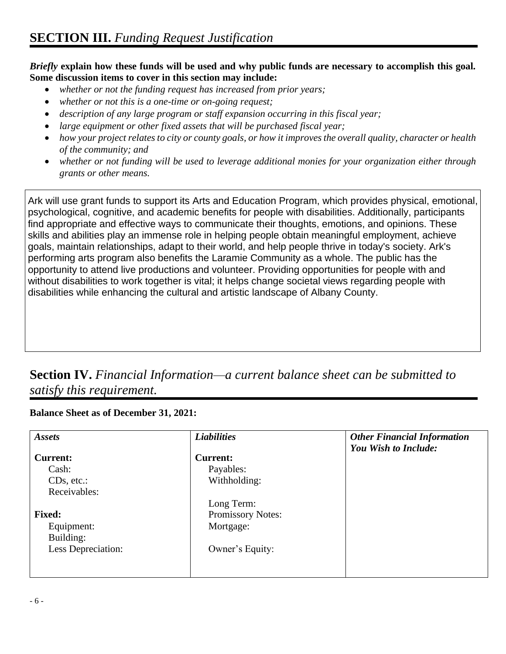*Briefly* **explain how these funds will be used and why public funds are necessary to accomplish this goal. Some discussion items to cover in this section may include:** 

- *whether or not the funding request has increased from prior years;*
- *whether or not this is a one-time or on-going request;*
- *description of any large program or staff expansion occurring in this fiscal year;*
- *large equipment or other fixed assets that will be purchased fiscal year;*
- *how your project relates to city or county goals, or how it improves the overall quality, character or health of the community; and*
- *whether or not funding will be used to leverage additional monies for your organization either through grants or other means.*

Ark will use grant funds to support its Arts and Education Program, which provides physical, emotional, psychological, cognitive, and academic benefits for people with disabilities. Additionally, participants find appropriate and effective ways to communicate their thoughts, emotions, and opinions. These skills and abilities play an immense role in helping people obtain meaningful employment, achieve goals, maintain relationships, adapt to their world, and help people thrive in today's society. Ark's performing arts program also benefits the Laramie Community as a whole. The public has the opportunity to attend live productions and volunteer. Providing opportunities for people with and without disabilities to work together is vital; it helps change societal views regarding people with disabilities while enhancing the cultural and artistic landscape of Albany County.

# **Section IV.** *Financial Information—a current balance sheet can be submitted to satisfy this requirement.*

#### **Balance Sheet as of December 31, 2021:**

| <b>Assets</b>      | <b>Liabilities</b> | <b>Other Financial Information</b><br>You Wish to Include: |
|--------------------|--------------------|------------------------------------------------------------|
| <b>Current:</b>    | Current:           |                                                            |
| Cash:              | Payables:          |                                                            |
| $CDs, etc.$ :      | Withholding:       |                                                            |
| Receivables:       |                    |                                                            |
|                    | Long Term:         |                                                            |
| <b>Fixed:</b>      | Promissory Notes:  |                                                            |
| Equipment:         | Mortgage:          |                                                            |
| Building:          |                    |                                                            |
| Less Depreciation: | Owner's Equity:    |                                                            |
|                    |                    |                                                            |
|                    |                    |                                                            |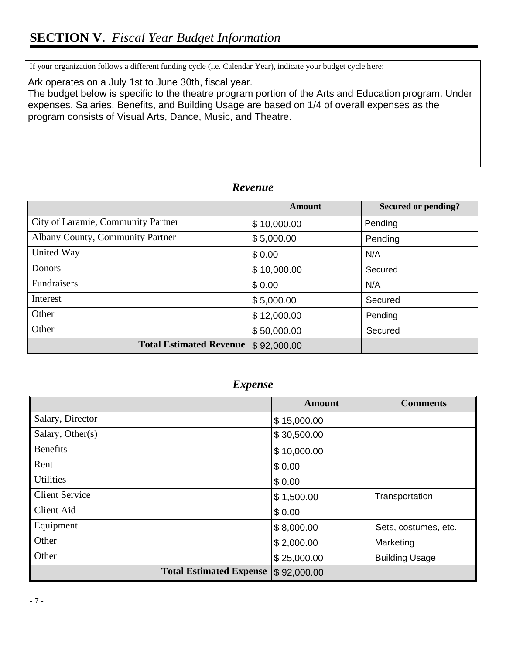If your organization follows a different funding cycle (i.e. Calendar Year), indicate your budget cycle here:

# *Revenue*

|                                    | <b>Amount</b> | <b>Secured or pending?</b> |
|------------------------------------|---------------|----------------------------|
| City of Laramie, Community Partner | \$10,000.00   | Pending                    |
| Albany County, Community Partner   | \$5,000.00    | Pending                    |
| United Way                         | \$0.00        | N/A                        |
| <b>Donors</b>                      | \$10,000.00   | Secured                    |
| <b>Fundraisers</b>                 | \$0.00        | N/A                        |
| Interest                           | \$5,000.00    | Secured                    |
| Other                              | \$12,000.00   | Pending                    |
| Other                              | \$50,000.00   | Secured                    |
| <b>Total Estimated Revenue</b>     | \$92,000.00   |                            |

# *Expense*

| Ark operates on a July 1st to June 30th, fiscal year.<br>The budget below is specific to the theatre program portion of the Arts and Education program. Under<br>expenses, Salaries, Benefits, and Building Usage are based on 1/4 of overall expenses as the<br>program consists of Visual Arts, Dance, Music, and Theatre. |             |               |                            |  |
|------------------------------------------------------------------------------------------------------------------------------------------------------------------------------------------------------------------------------------------------------------------------------------------------------------------------------|-------------|---------------|----------------------------|--|
|                                                                                                                                                                                                                                                                                                                              | Revenue     |               |                            |  |
|                                                                                                                                                                                                                                                                                                                              |             | <b>Amount</b> | <b>Secured or pending?</b> |  |
| City of Laramie, Community Partner                                                                                                                                                                                                                                                                                           | \$10,000.00 |               | Pending                    |  |
| Albany County, Community Partner                                                                                                                                                                                                                                                                                             |             | \$5,000.00    | Pending                    |  |
| United Way                                                                                                                                                                                                                                                                                                                   | \$0.00      |               | N/A                        |  |
| Donors                                                                                                                                                                                                                                                                                                                       | \$10,000.00 |               | Secured                    |  |
| Fundraisers                                                                                                                                                                                                                                                                                                                  | \$0.00      |               | N/A                        |  |
| Interest                                                                                                                                                                                                                                                                                                                     | \$5,000.00  |               | Secured                    |  |
| Other                                                                                                                                                                                                                                                                                                                        |             | \$12,000.00   | Pending                    |  |
| Other                                                                                                                                                                                                                                                                                                                        | \$50,000.00 |               | Secured                    |  |
| <b>Total Estimated Revenue</b>                                                                                                                                                                                                                                                                                               | \$92,000.00 |               |                            |  |
| <i>Expense</i>                                                                                                                                                                                                                                                                                                               |             |               |                            |  |
|                                                                                                                                                                                                                                                                                                                              |             | <b>Amount</b> | <b>Comments</b>            |  |
| Salary, Director                                                                                                                                                                                                                                                                                                             |             | \$15,000.00   |                            |  |
| Salary, Other(s)                                                                                                                                                                                                                                                                                                             |             | \$30,500.00   |                            |  |
| Benefits                                                                                                                                                                                                                                                                                                                     |             | \$10,000.00   |                            |  |
| Rent                                                                                                                                                                                                                                                                                                                         |             | \$0.00        |                            |  |
| <b>Utilities</b>                                                                                                                                                                                                                                                                                                             |             | \$0.00        |                            |  |
| <b>Client Service</b>                                                                                                                                                                                                                                                                                                        |             | \$1,500.00    | Transportation             |  |
| <b>Client Aid</b>                                                                                                                                                                                                                                                                                                            |             | \$0.00        |                            |  |
| Equipment                                                                                                                                                                                                                                                                                                                    |             | \$8,000.00    | Sets, costumes, etc.       |  |
| Other                                                                                                                                                                                                                                                                                                                        |             | \$2,000.00    | Marketing                  |  |
| Other                                                                                                                                                                                                                                                                                                                        |             | \$25,000.00   | <b>Building Usage</b>      |  |
| <b>Total Estimated Expense</b>                                                                                                                                                                                                                                                                                               |             | \$92,000.00   |                            |  |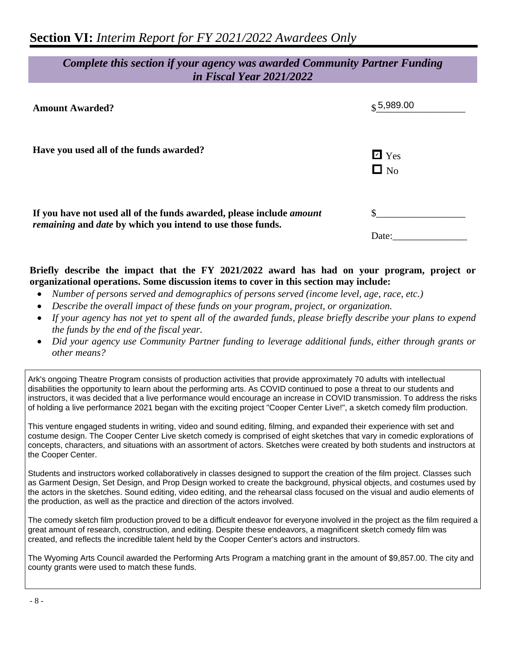# *Complete this section if your agency was awarded Community Partner Funding in Fiscal Year 2021/2022*

| <b>Amount Awarded?</b>                                                                                                                    | $\frac{6}{3}$ 5,989.00     |
|-------------------------------------------------------------------------------------------------------------------------------------------|----------------------------|
| Have you used all of the funds awarded?                                                                                                   | $\boxdot$ Yes<br>$\Box$ No |
| If you have not used all of the funds awarded, please include <i>amount</i><br>remaining and date by which you intend to use those funds. | Date:                      |

#### **Briefly describe the impact that the FY 2021/2022 award has had on your program, project or organizational operations. Some discussion items to cover in this section may include:**

- *Number of persons served and demographics of persons served (income level, age, race, etc.)*
- *Describe the overall impact of these funds on your program, project, or organization.*
- *If your agency has not yet to spent all of the awarded funds, please briefly describe your plans to expend the funds by the end of the fiscal year.*
- *Did your agency use Community Partner funding to leverage additional funds, either through grants or other means?*

Ark's ongoing Theatre Program consists of production activities that provide approximately 70 adults with intellectual disabilities the opportunity to learn about the performing arts. As COVID continued to pose a threat to our students and instructors, it was decided that a live performance would encourage an increase in COVID transmission. To address the risks of holding a live performance 2021 began with the exciting project "Cooper Center Live!", a sketch comedy film production.

This venture engaged students in writing, video and sound editing, filming, and expanded their experience with set and costume design. The Cooper Center Live sketch comedy is comprised of eight sketches that vary in comedic explorations of concepts, characters, and situations with an assortment of actors. Sketches were created by both students and instructors at the Cooper Center.

Students and instructors worked collaboratively in classes designed to support the creation of the film project. Classes such as Garment Design, Set Design, and Prop Design worked to create the background, physical objects, and costumes used by the actors in the sketches. Sound editing, video editing, and the rehearsal class focused on the visual and audio elements of the production, as well as the practice and direction of the actors involved.

The comedy sketch film production proved to be a difficult endeavor for everyone involved in the project as the film required a great amount of research, construction, and editing. Despite these endeavors, a magnificent sketch comedy film was created, and reflects the incredible talent held by the Cooper Center's actors and instructors.

The Wyoming Arts Council awarded the Performing Arts Program a matching grant in the amount of \$9,857.00. The city and county grants were used to match these funds.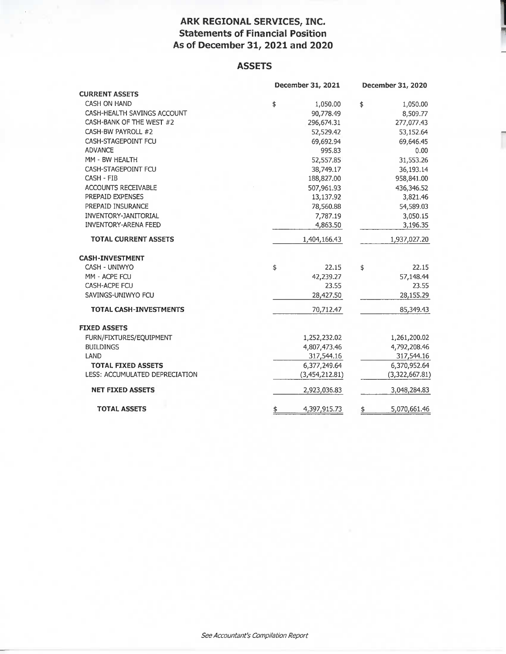## **ARK REGIONAL SERVICES, INC. Statements of Financial Position As of December 31, 2021 and 2020**

## **ASSETS**

|                                | December 31, 2021  | December 31, 2020  |
|--------------------------------|--------------------|--------------------|
| <b>CURRENT ASSETS</b>          |                    |                    |
| CASH ON HAND                   | \$<br>1,050.00     | \$<br>1,050.00     |
| CASH-HEALTH SAVINGS ACCOUNT    | 90,778.49          | 8,509.77           |
| CASH-BANK OF THE WEST #2       | 296,674.31         | 277,077.43         |
| CASH-BW PAYROLL #2             | 52,529.42          | 53,152.64          |
| CASH-STAGEPOINT FCU            | 69,692.94          | 69,646.45          |
| <b>ADVANCE</b>                 | 995.83             | 0.00               |
| MM - BW HEALTH                 | 52,557.85          | 31,553.26          |
| CASH-STAGEPOINT FCU            | 38,749.17          | 36,193.14          |
| CASH - FIB                     | 188,827.00         | 958,841.00         |
| ACCOUNTS RECEIVABLE            | 507,961.93         | 436,346.52         |
| PREPAID EXPENSES               | 13,137.92          | 3,821.46           |
| PREPAID INSURANCE              | 78,560.88          | 54,589.03          |
| <b>INVENTORY-JANITORIAL</b>    | 7,787.19           | 3,050.15           |
| <b>INVENTORY-ARENA FEED</b>    | 4,863.50           | 3,196.35           |
| <b>TOTAL CURRENT ASSETS</b>    | 1,404,166.43       | 1,937,027.20       |
| <b>CASH-INVESTMENT</b>         |                    |                    |
| CASH - UNIWYO                  | \$<br>22.15        | \$<br>22.15        |
| MM - ACPE FCU                  | 42,239.27          | 57,148.44          |
| CASH-ACPE FCU                  | 23.55              | 23.55              |
| SAVINGS-UNIWYO FCU             | 28,427.50          | 28,155.29          |
| <b>TOTAL CASH-INVESTMENTS</b>  | 70,712.47          | 85,349.43          |
| <b>FIXED ASSETS</b>            |                    |                    |
| FURN/FIXTURES/EQUIPMENT        | 1,252,232.02       | 1,261,200.02       |
| <b>BUILDINGS</b>               | 4,807,473.46       | 4,792,208.46       |
| LAND                           | 317,544.16         | 317,544.16         |
| <b>TOTAL FIXED ASSETS</b>      | 6,377,249.64       | 6,370,952.64       |
| LESS: ACCUMULATED DEPRECIATION | (3,454,212.81)     | (3,322,667.81)     |
| <b>NET FIXED ASSETS</b>        | 2,923,036.83       | 3,048,284.83       |
| <b>TOTAL ASSETS</b>            | \$<br>4,397,915.73 | \$<br>5,070,661.46 |